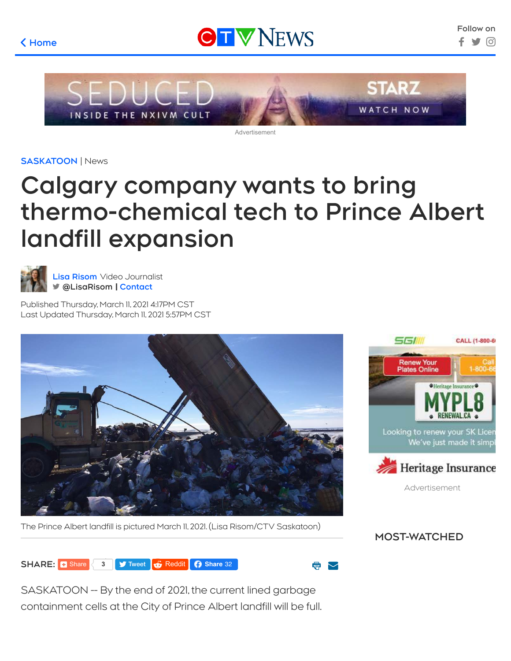## **[Home](https://saskatoon.ctvnews.ca/)** \$





Advertisement

**[SASKATOON](https://saskatoon.ctvnews.ca/)** | News

## **Calgary company wants to bring thermo-chemical tech to Prince Albert landfill expansion**



**[Lisa Risom](https://saskatoon.ctvnews.ca/more/bios/lisa-risom-1.4622594)** Video Journalist " **[@LisaRisom](https://twitter.com/LisaRisom) [Contact](https://saskatoon.ctvnews.ca/more/bios/lisa-risom-1.4622594?contactForm=true)**

Published Thursday, March 11, 2021 4:17PM CST Last Updated Thursday, March 11, 2021 5:57PM CST



The Prince Albert landfill is pictured March 11, 2021. (Lisa Risom/CTV Saskatoon)





**SHARE:** B [Share](https://www.facebook.com/sharer/sharer.php?kid_directed_site=0&sdk=joey&u=https%3A%2F%2Fsaskatoon.ctvnews.ca%2Fcalgary-company-wants-to-bring-thermo-chemical-tech-to-prince-albert-landfill-expansion-1.5343696&display=popup&ref=plugin&src=share_button) [3](https://saskatoon.ctvnews.ca/calgary-company-wants-to-bring-thermo-chemical-tech-to-prince-albert-landfill-expansion-1.5343696#) 3 **9** [Tweet](https://twitter.com/intent/tweet?original_referer=https%3A%2F%2Fsaskatoon.ctvnews.ca&ref_src=twsrc%5Etfw&text=Calgary%20company%20wants%20to%20bring%20thermo-chemical%20tech%20to%20Prince%20Albert%20landfill%20expansion&tw_p=tweetbutton&url=https%3A%2F%2Fsaskatoon.ctvnews.ca%2Fcalgary-company-wants-to-bring-thermo-chemical-tech-to-prince-albert-landfill-expansion-1.5343696&via=ctvsaskatoon) **6** [Reddit](https://reddit.com/submit?url=https://saskatoon.ctvnews.ca/calgary-company-wants-to-bring-thermo-chemical-tech-to-prince-albert-landfill-expansion-1.5343696&title=Calgary%20company%20wants%20to%20bring%20thermo-chemical%20tech%20to%20Prince%20Albert%20landfill%20expansion) **C** Share 32

a

SASKATOON -- By the end of 2021, the current lined garbage containment cells at the City of Prince Albert landfill will be full.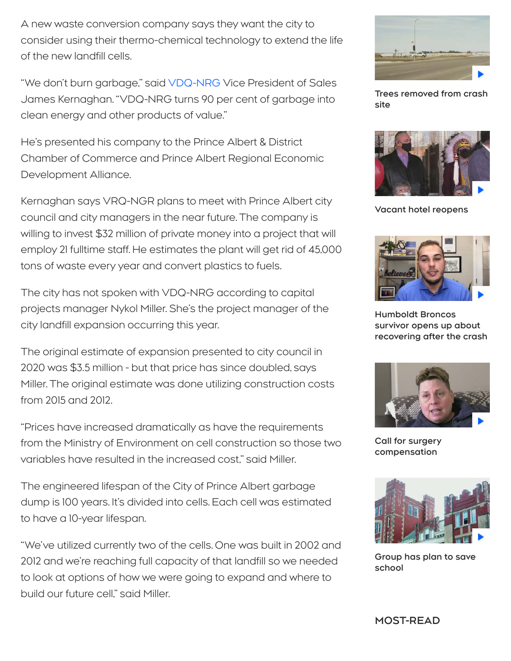A new waste conversion company says they want the city to consider using their thermo-chemical technology to extend the life of the new landfill cells.

"We don't burn garbage," said [VDQ-NRG](http://www.vdqnrg.ca/) Vice President of Sales James Kernaghan. "VDQ-NRG turns 90 per cent of garbage into clean energy and other products of value."

He's presented his company to the Prince Albert & District Chamber of Commerce and Prince Albert Regional Economic Development Alliance.

Kernaghan says VRQ-NGR plans to meet with Prince Albert city council and city managers in the near future. The company is willing to invest \$32 million of private money into a project that will employ 21 fulltime staff. He estimates the plant will get rid of 45,000 tons of waste every year and convert plastics to fuels.

The city has not spoken with VDQ-NRG according to capital projects manager Nykol Miller. She's the project manager of the city landfill expansion occurring this year.

The original estimate of expansion presented to city council in 2020 was \$3.5 million - but that price has since doubled, says Miller. The original estimate was done utilizing construction costs from 2015 and 2012.

"Prices have increased dramatically as have the requirements from the Ministry of Environment on cell construction so those two variables have resulted in the increased cost," said Miller.

The engineered lifespan of the City of Prince Albert garbage dump is 100 years. It's divided into cells. Each cell was estimated to have a 10-year lifespan.

"We've utilized currently two of the cells. One was built in 2002 and 2012 and we're reaching full capacity of that landfill so we needed to look at options of how we were going to expand and where to build our future cell" said Miller.



**[Trees removed from crash](https://saskatoon.ctvnews.ca/video?clipId=2161261) site**



**[Vacant hotel reopens](https://saskatoon.ctvnews.ca/video?clipId=2161259)**



**Humboldt Broncos survivor opens up about [recovering after the crash](https://saskatoon.ctvnews.ca/video?clipId=2161434)**



**[Call for surgery](https://saskatoon.ctvnews.ca/video?clipId=2161251) compensation**



**[Group has plan to save](https://saskatoon.ctvnews.ca/video?clipId=2161255) school**